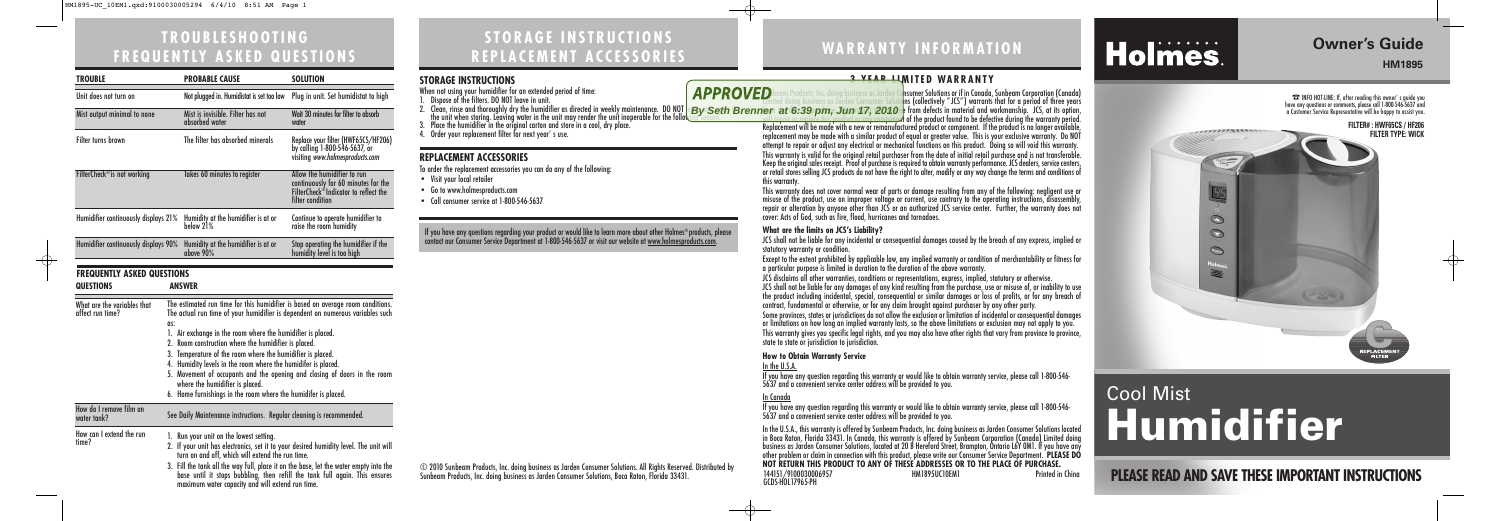## **STORAGE INSTRUCTIONS REPLACEMENT ACCESSORIES**

**STORAGE INSTRUCTIONS**<br>When not using your humidifier for an extended period of time:<br>1. Dispose of the filters. DO NOT leave in unit. When not using your humidifier for an extended period of time: 1. Dispose of the filters. DO NOT leave in unit. 2. Clean, rinse and thoroughly dry the humidifier as directed in weekly maintenance. DO NOT |e'By |'Seth |E<br>The unit when storing. Leaving water in the unit may render the unit inoperable for the following season.<br>3. 4. Order your replacement filter for next year' s use. **REPLACEMENT ACCESSORIES** To order the replacement accessories you can do any of the following: • Visit your local retailer • Go to www.holmesproducts.com • Call consumer service at 1-800-546-5637 If you have any questions regarding your product or would like to learn more about other Holmes®products, please contact our Consumer Service Department at 1-800-546-5637 or visit our website at <u>www.holmesproducts.com</u>.

# **TROUBLESHOOTING FREQUENTLY ASKED QUESTIONS**

**PLEASE READ AND SAVE THESE IMPORTANT INSTRUCTIONS**

# **Owner's Guide**

**HM1895**

# **WARRANTY INFORMATION**

# Holmes.

# Cool Mist **Humidifier**

77777777 A CONTENT



#### **FILTER# : HWF65CS / HF206 FILTER TYPE: WICK**



JCS shall not be liable for any incidental or consequential damages caused by the breach of any express, implied or statutory warranty or condition.

© 2010 Sunbeam Products, Inc. doing business as Jarden Consumer Solutions. All Rights Reserved. Distributed by Sunbeam Products, Inc. doing business as Jarden Consumer Solutions, Boca Raton, Florida 33431.

#### **3 YEAR LIMITED WARRANTY**

**D** beam Products, Inc. doing business as Jarden Cansumer Solutions or if in Canada, Sunbeam Corporation (Canada) Limited doing business as Jarden Consumer Solutions (collectively "JCS") warrants that for a period of three years form  $at$  6:39 pm, Jun 17, 2010  $\cdot$  from defects in material and workmanship. JCS, at its option, will repair or replace this product or any component of the product found to be defective during the warranty period. Replacement will be made with a new or remanufactured product or component. If the product is no longer available, replacement may be made with a similar product of equal or greater value. This is your exclusive warranty. Do NOT attempt to repair or adjust any electrical or mechanical functions on this product. Doing so will void this warranty. This warranty is valid for the original retail purchaser from the date of initial retail purchase and is not transferable. Keep the original sales receipt. Proof of purchase is required to obtain warranty performance. JCS dealers, service centers, or retail stores selling JCS products do not have the right to alter, modify or any way change the terms and conditions of this warranty. **By Seth Brenner at 6:39 pm, Jun 17, 2010**

This warranty does not cover normal wear of parts or damage resulting from any of the following: negligent use or misuse of the product, use on improper voltage or current, use contrary to the operating instructions, disassembly, repair or alteration by anyone other than JCS or an authorized JCS service center. Further, the warranty does not cover: Acts of God, such as fire, flood, hurricanes and tornadoes.

#### **What are the limits on JCS's Liability?**

| <b>TROUBLE</b>                                  |                                                                                                                                                                                                                                                                                                                                                                                                                                                                                                                                                                                                                  | <b>PROBABLE CAUSE</b>                                                                                                                                                                                                                                                                                                                                                                                            | <b>SOLUTION</b>                                                                                                                |  |
|-------------------------------------------------|------------------------------------------------------------------------------------------------------------------------------------------------------------------------------------------------------------------------------------------------------------------------------------------------------------------------------------------------------------------------------------------------------------------------------------------------------------------------------------------------------------------------------------------------------------------------------------------------------------------|------------------------------------------------------------------------------------------------------------------------------------------------------------------------------------------------------------------------------------------------------------------------------------------------------------------------------------------------------------------------------------------------------------------|--------------------------------------------------------------------------------------------------------------------------------|--|
| Unit does not turn on                           |                                                                                                                                                                                                                                                                                                                                                                                                                                                                                                                                                                                                                  | Not plugged in. Humidistat is set too low                                                                                                                                                                                                                                                                                                                                                                        | Plug in unit. Set humidistat to high                                                                                           |  |
| Mist output minimal to none                     |                                                                                                                                                                                                                                                                                                                                                                                                                                                                                                                                                                                                                  | Mist is invisible. Filter has not<br>absorbed water                                                                                                                                                                                                                                                                                                                                                              | Wait 30 minutes for filter to absorb<br>water                                                                                  |  |
| <b>Filter turns brown</b>                       |                                                                                                                                                                                                                                                                                                                                                                                                                                                                                                                                                                                                                  | The filter has absorbed minerals                                                                                                                                                                                                                                                                                                                                                                                 | Replace your filter (HWF65CS/HF206)<br>by calling 1-800-546-5637, or<br>visiting www.holmesproducts.com                        |  |
| FilterCheck <sup>®</sup> is not working         |                                                                                                                                                                                                                                                                                                                                                                                                                                                                                                                                                                                                                  | Takes 60 minutes to register                                                                                                                                                                                                                                                                                                                                                                                     | Allow the humidifier to run<br>continuously for 60 minutes for the<br>FilterCheck®Indicator to reflect the<br>filter condition |  |
| Humidifier continuously displays 21%            |                                                                                                                                                                                                                                                                                                                                                                                                                                                                                                                                                                                                                  | Humidity at the humidifier is at or<br>below 21%                                                                                                                                                                                                                                                                                                                                                                 | Continue to operate humidifier to<br>raise the room humidity                                                                   |  |
| Humidifier continuously displays 90%            |                                                                                                                                                                                                                                                                                                                                                                                                                                                                                                                                                                                                                  | Humidity at the humidifier is at or<br>above 90%                                                                                                                                                                                                                                                                                                                                                                 | Stop operating the humidifier if the<br>humidity level is too high                                                             |  |
| <b>FREQUENTLY ASKED QUESTIONS</b>               |                                                                                                                                                                                                                                                                                                                                                                                                                                                                                                                                                                                                                  |                                                                                                                                                                                                                                                                                                                                                                                                                  |                                                                                                                                |  |
| <b>QUESTIONS</b>                                |                                                                                                                                                                                                                                                                                                                                                                                                                                                                                                                                                                                                                  | <b>ANSWER</b>                                                                                                                                                                                                                                                                                                                                                                                                    |                                                                                                                                |  |
| What are the variables that<br>affect run time? | The estimated run time for this humidifier is based on average room conditions.<br>The actual run time of your humidifier is dependent on numerous variables such<br>as:<br>1. Air exchange in the room where the humidifier is placed.<br>2. Room construction where the humidifier is placed.<br>3. Temperature of the room where the humidifier is placed.<br>4. Humidity levels in the room where the humidifer is placed.<br>5. Movement of occupants and the opening and closing of doors in the room<br>where the humidifier is placed.<br>6. Home furnishings in the room where the humidifer is placed. |                                                                                                                                                                                                                                                                                                                                                                                                                  |                                                                                                                                |  |
| How do I remove film on<br>water tank?          | See Daily Maintenance instructions. Regular cleaning is recommended.                                                                                                                                                                                                                                                                                                                                                                                                                                                                                                                                             |                                                                                                                                                                                                                                                                                                                                                                                                                  |                                                                                                                                |  |
| How can I extend the run<br>time?               |                                                                                                                                                                                                                                                                                                                                                                                                                                                                                                                                                                                                                  | 1. Run your unit on the lowest setting.<br>2. If your unit has electronics, set it to your desired humidity level. The unit will<br>turn on and off, which will extend the run time.<br>3. Fill the tank all the way full, place it on the base, let the water empty into the<br>base until it stops bubbling, then refill the tank full again. This ensures<br>maximum water capacity and will extend run time. |                                                                                                                                |  |

Except to the extent prohibited by applicable law, any implied warranty or condition of merchantability or fitness for a particular purpose is limited in duration to the duration of the above warranty.

JCS disclaims all other warranties, conditions or representations, express, implied, statutory or otherwise.

JCS shall not be liable for any damages of any kind resulting from the purchase, use or misuse of, or inability to use the product including incidental, special, consequential or similar damages or loss of profits, or for any breach of contract, fundamental or otherwise, or for any claim brought against purchaser by any other party.

Some provinces, states or jurisdictions do not allow the exclusion or limitation of incidental or consequential damages or limitations on how long an implied warranty lasts, so the above limitations or exclusion may not apply to you. This warranty gives you specific legal rights, and you may also have other rights that vary from province to province, state to state or jurisdiction to jurisdiction.

#### **How to Obtain Warranty Service**

#### In the U.S.A.

If you have any question regarding this warranty or would like to obtain warranty service, please call 1-800-546- 5637 and a convenient service center address will be provided to you.

#### In Canada

If you have any question regarding this warranty or would like to obtain warranty service, please call 1-800-546- 5637 and a convenient service center address will be provided to you.

In the U.S.A., this warranty is offered by Sunbeam Products, Inc. doing business as Jarden Consumer Solutions located in Boca Raton, Florida 33431. In Canada, this warranty is offered by Sunbeam Corporation (Canada) Limited doing business as Jarden Consumer Solutions, located at 20 B Hereford Street, Brampton, Ontario L6Y 0M1. If you have any other problem or claim in connection with this product, please write our Consumer Service Department. **PLEASE DO NOT RETURN THIS PRODUCT TO ANY OF THESE ADDRESSES OR TO THE PLACE OF PURCHASE.** 

144151/9100030006957 HM1895UC10EM1 Printed in China

GCDS-HOL17965-PH